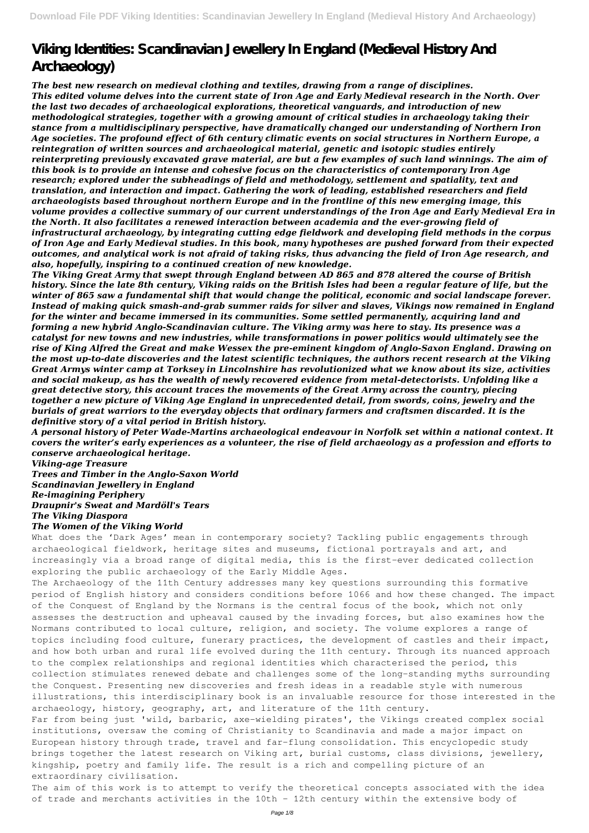## **Viking Identities: Scandinavian Jewellery In England (Medieval History And Archaeology)**

*The best new research on medieval clothing and textiles, drawing from a range of disciplines. This edited volume delves into the current state of Iron Age and Early Medieval research in the North. Over the last two decades of archaeological explorations, theoretical vanguards, and introduction of new methodological strategies, together with a growing amount of critical studies in archaeology taking their stance from a multidisciplinary perspective, have dramatically changed our understanding of Northern Iron Age societies. The profound effect of 6th century climatic events on social structures in Northern Europe, a reintegration of written sources and archaeological material, genetic and isotopic studies entirely reinterpreting previously excavated grave material, are but a few examples of such land winnings. The aim of this book is to provide an intense and cohesive focus on the characteristics of contemporary Iron Age research; explored under the subheadings of field and methodology, settlement and spatiality, text and translation, and interaction and impact. Gathering the work of leading, established researchers and field archaeologists based throughout northern Europe and in the frontline of this new emerging image, this volume provides a collective summary of our current understandings of the Iron Age and Early Medieval Era in the North. It also facilitates a renewed interaction between academia and the ever-growing field of infrastructural archaeology, by integrating cutting edge fieldwork and developing field methods in the corpus of Iron Age and Early Medieval studies. In this book, many hypotheses are pushed forward from their expected outcomes, and analytical work is not afraid of taking risks, thus advancing the field of Iron Age research, and also, hopefully, inspiring to a continued creation of new knowledge.*

*The Viking Great Army that swept through England between AD 865 and 878 altered the course of British history. Since the late 8th century, Viking raids on the British Isles had been a regular feature of life, but the winter of 865 saw a fundamental shift that would change the political, economic and social landscape forever. Instead of making quick smash-and-grab summer raids for silver and slaves, Vikings now remained in England for the winter and became immersed in its communities. Some settled permanently, acquiring land and forming a new hybrid Anglo-Scandinavian culture. The Viking army was here to stay. Its presence was a catalyst for new towns and new industries, while transformations in power politics would ultimately see the rise of King Alfred the Great and make Wessex the pre-eminent kingdom of Anglo-Saxon England. Drawing on the most up-to-date discoveries and the latest scientific techniques, the authors recent research at the Viking Great Armys winter camp at Torksey in Lincolnshire has revolutionized what we know about its size, activities and social makeup, as has the wealth of newly recovered evidence from metal-detectorists. Unfolding like a great detective story, this account traces the movements of the Great Army across the country, piecing together a new picture of Viking Age England in unprecedented detail, from swords, coins, jewelry and the burials of great warriors to the everyday objects that ordinary farmers and craftsmen discarded. It is the definitive story of a vital period in British history.*

The aim of this work is to attempt to verify the theoretical concepts associated with the idea of trade and merchants activities in the 10th - 12th century within the extensive body of

*A personal history of Peter Wade-Martins archaeological endeavour in Norfolk set within a national context. It covers the writer's early experiences as a volunteer, the rise of field archaeology as a profession and efforts to conserve archaeological heritage.*

*Viking-age Treasure Trees and Timber in the Anglo-Saxon World Scandinavian Jewellery in England Re-imagining Periphery Draupnir's Sweat and Mardöll's Tears The Viking Diaspora The Women of the Viking World*

What does the 'Dark Ages' mean in contemporary society? Tackling public engagements through archaeological fieldwork, heritage sites and museums, fictional portrayals and art, and increasingly via a broad range of digital media, this is the first-ever dedicated collection exploring the public archaeology of the Early Middle Ages.

The Archaeology of the 11th Century addresses many key questions surrounding this formative period of English history and considers conditions before 1066 and how these changed. The impact of the Conquest of England by the Normans is the central focus of the book, which not only assesses the destruction and upheaval caused by the invading forces, but also examines how the Normans contributed to local culture, religion, and society. The volume explores a range of topics including food culture, funerary practices, the development of castles and their impact, and how both urban and rural life evolved during the 11th century. Through its nuanced approach to the complex relationships and regional identities which characterised the period, this collection stimulates renewed debate and challenges some of the long-standing myths surrounding the Conquest. Presenting new discoveries and fresh ideas in a readable style with numerous illustrations, this interdisciplinary book is an invaluable resource for those interested in the archaeology, history, geography, art, and literature of the 11th century. Far from being just 'wild, barbaric, axe-wielding pirates', the Vikings created complex social institutions, oversaw the coming of Christianity to Scandinavia and made a major impact on European history through trade, travel and far-flung consolidation. This encyclopedic study brings together the latest research on Viking art, burial customs, class divisions, jewellery, kingship, poetry and family life. The result is a rich and compelling picture of an extraordinary civilisation.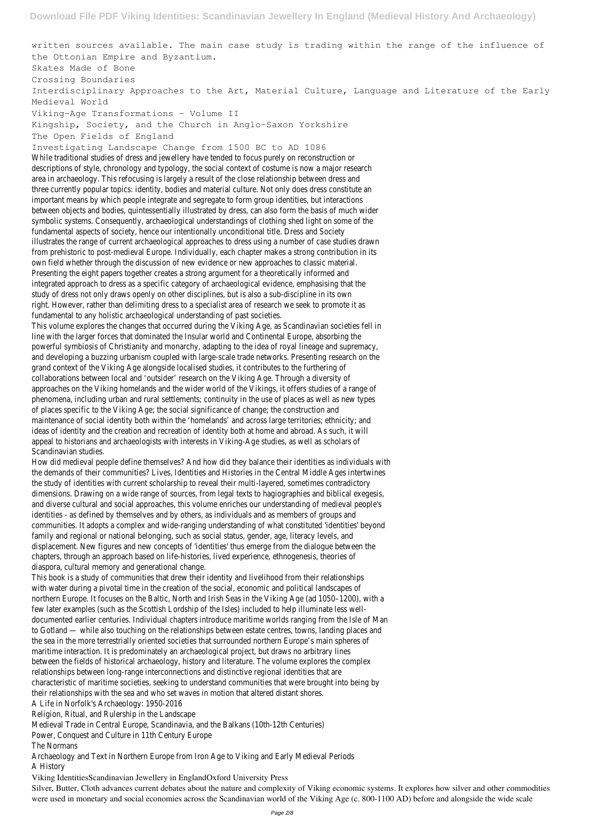written sources available. The main case study is trading within the range of the influence of the Ottonian Empire and Byzantium.

Skates Made of Bone

Crossing Boundaries

Interdisciplinary Approaches to the Art, Material Culture, Language and Literature of the Early Medieval World

Viking-Age Transformations – Volume II

Kingship, Society, and the Church in Anglo-Saxon Yorkshire

The Open Fields of England

Investigating Landscape Change from 1500 BC to AD 1086

While traditional studies of dress and jewellery have tended to focus purely on reconstruction or descriptions of style, chronology and typology, the social context of costume is now a major research area in archaeology. This refocusing is largely a result of the close relationship between dress and three currently popular topics: identity, bodies and material culture. Not only does dress constitute an important means by which people integrate and segregate to form group identities, but interactions between objects and bodies, quintessentially illustrated by dress, can also form the basis of much wider symbolic systems. Consequently, archaeological understandings of clothing shed light on some of the fundamental aspects of society, hence our intentionally unconditional title. Dress and Society illustrates the range of current archaeological approaches to dress using a number of case studies drawn from prehistoric to post-medieval Europe. Individually, each chapter makes a strong contribution in its own field whether through the discussion of new evidence or new approaches to classic material. Presenting the eight papers together creates a strong argument for a theoretically informed and integrated approach to dress as a specific category of archaeological evidence, emphasising that the study of dress not only draws openly on other disciplines, but is also a sub-discipline in its own right. However, rather than delimiting dress to a specialist area of research we seek to promote it as fundamental to any holistic archaeological understanding of past societies.

This volume explores the changes that occurred during the Viking Age, as Scandinavian societies fell in line with the larger forces that dominated the Insular world and Continental Europe, absorbing the powerful symbiosis of Christianity and monarchy, adapting to the idea of royal lineage and supremacy, and developing a buzzing urbanism coupled with large-scale trade networks. Presenting research on the grand context of the Viking Age alongside localised studies, it contributes to the furthering of collaborations between local and 'outsider' research on the Viking Age. Through a diversity of approaches on the Viking homelands and the wider world of the Vikings, it offers studies of a range of phenomena, including urban and rural settlements; continuity in the use of places as well as new types of places specific to the Viking Age; the social significance of change; the construction and maintenance of social identity both within the 'homelands' and across large territories; ethnicity; and ideas of identity and the creation and recreation of identity both at home and abroad. As such, it will appeal to historians and archaeologists with interests in Viking-Age studies, as well as scholars of Scandinavian studies.

How did medieval people define themselves? And how did they balance their identities as individuals with the demands of their communities? Lives, Identities and Histories in the Central Middle Ages intertwines the study of identities with current scholarship to reveal their multi-layered, sometimes contradictory dimensions. Drawing on a wide range of sources, from legal texts to hagiographies and biblical exegesis, and diverse cultural and social approaches, this volume enriches our understanding of medieval people's identities - as defined by themselves and by others, as individuals and as members of groups and communities. It adopts a complex and wide-ranging understanding of what constituted 'identities' beyond family and regional or national belonging, such as social status, gender, age, literacy levels, and displacement. New figures and new concepts of 'identities' thus emerge from the dialogue between the chapters, through an approach based on life-histories, lived experience, ethnogenesis, theories of diaspora, cultural memory and generational change.

This book is a study of communities that drew their identity and livelihood from their relationships with water during a pivotal time in the creation of the social, economic and political landscapes of northern Europe. It focuses on the Baltic, North and Irish Seas in the Viking Age (ad 1050–1200), with a few later examples (such as the Scottish Lordship of the Isles) included to help illuminate less welldocumented earlier centuries. Individual chapters introduce maritime worlds ranging from the Isle of Man to Gotland — while also touching on the relationships between estate centres, towns, landing places and the sea in the more terrestrially oriented societies that surrounded northern Europe's main spheres of maritime interaction. It is predominately an archaeological project, but draws no arbitrary lines between the fields of historical archaeology, history and literature. The volume explores the complex relationships between long-range interconnections and distinctive regional identities that are characteristic of maritime societies, seeking to understand communities that were brought into being by their relationships with the sea and who set waves in motion that altered distant shores. A Life in Norfolk's Archaeology: 1950-2016 Religion, Ritual, and Rulership in the Landscape Medieval Trade in Central Europe, Scandinavia, and the Balkans (10th-12th Centuries) Power, Conquest and Culture in 11th Century Europe The Normans Archaeology and Text in Northern Europe from Iron Age to Viking and Early Medieval Periods A History Viking IdentitiesScandinavian Jewellery in EnglandOxford University Press Silver, Butter, Cloth advances current debates about the nature and complexity of Viking economic systems. It explores how silver and other commodities were used in monetary and social economies across the Scandinavian world of the Viking Age (c. 800-1100 AD) before and alongside the wide scale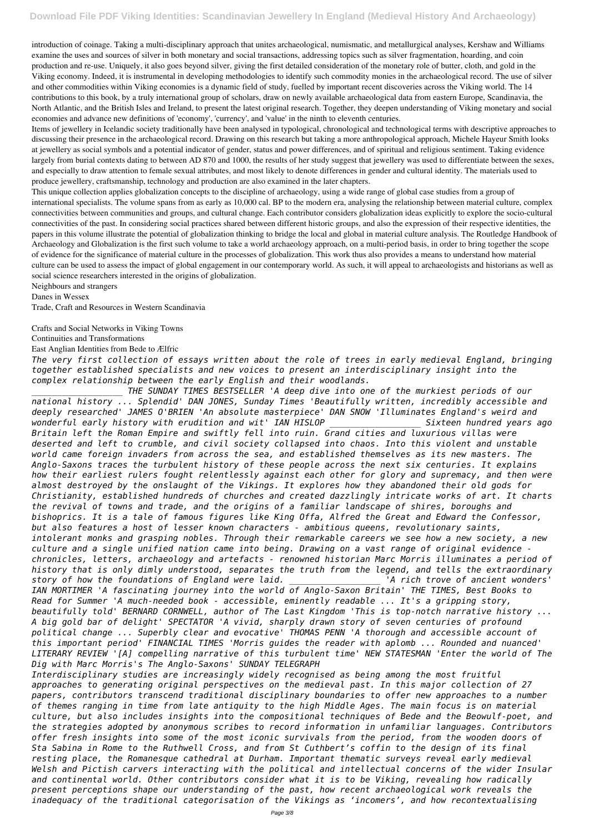introduction of coinage. Taking a multi-disciplinary approach that unites archaeological, numismatic, and metallurgical analyses, Kershaw and Williams examine the uses and sources of silver in both monetary and social transactions, addressing topics such as silver fragmentation, hoarding, and coin production and re-use. Uniquely, it also goes beyond silver, giving the first detailed consideration of the monetary role of butter, cloth, and gold in the Viking economy. Indeed, it is instrumental in developing methodologies to identify such commodity monies in the archaeological record. The use of silver and other commodities within Viking economies is a dynamic field of study, fuelled by important recent discoveries across the Viking world. The 14 contributions to this book, by a truly international group of scholars, draw on newly available archaeological data from eastern Europe, Scandinavia, the North Atlantic, and the British Isles and Ireland, to present the latest original research. Together, they deepen understanding of Viking monetary and social economies and advance new definitions of 'economy', 'currency', and 'value' in the ninth to eleventh centuries.

Items of jewellery in Icelandic society traditionally have been analysed in typological, chronological and technological terms with descriptive approaches to discussing their presence in the archaeological record. Drawing on this research but taking a more anthropological approach, Michele Hayeur Smith looks at jewellery as social symbols and a potential indicator of gender, status and power differences, and of spiritual and religious sentiment. Taking evidence largely from burial contexts dating to between AD 870 and 1000, the results of her study suggest that jewellery was used to differentiate between the sexes, and especially to draw attention to female sexual attributes, and most likely to denote differences in gender and cultural identity. The materials used to produce jewellery, craftsmanship, technology and production are also examined in the later chapters.

This unique collection applies globalization concepts to the discipline of archaeology, using a wide range of global case studies from a group of international specialists. The volume spans from as early as 10,000 cal. BP to the modern era, analysing the relationship between material culture, complex connectivities between communities and groups, and cultural change. Each contributor considers globalization ideas explicitly to explore the socio-cultural connectivities of the past. In considering social practices shared between different historic groups, and also the expression of their respective identities, the papers in this volume illustrate the potential of globalization thinking to bridge the local and global in material culture analysis. The Routledge Handbook of Archaeology and Globalization is the first such volume to take a world archaeology approach, on a multi-period basis, in order to bring together the scope of evidence for the significance of material culture in the processes of globalization. This work thus also provides a means to understand how material culture can be used to assess the impact of global engagement in our contemporary world. As such, it will appeal to archaeologists and historians as well as social science researchers interested in the origins of globalization.

Neighbours and strangers

Danes in Wessex

Trade, Craft and Resources in Western Scandinavia

## Crafts and Social Networks in Viking Towns

Continuities and Transformations

East Anglian Identities from Bede to Ælfric

*The very first collection of essays written about the role of trees in early medieval England, bringing together established specialists and new voices to present an interdisciplinary insight into the complex relationship between the early English and their woodlands.*

*\_\_\_\_\_\_\_\_\_\_\_\_\_\_\_\_\_\_ THE SUNDAY TIMES BESTSELLER 'A deep dive into one of the murkiest periods of our national history ... Splendid' DAN JONES, Sunday Times 'Beautifully written, incredibly accessible and deeply researched' JAMES O'BRIEN 'An absolute masterpiece' DAN SNOW 'Illuminates England's weird and wonderful early history with erudition and wit' IAN HISLOP \_\_\_\_\_\_\_\_\_\_\_\_\_\_\_\_\_\_ Sixteen hundred years ago Britain left the Roman Empire and swiftly fell into ruin. Grand cities and luxurious villas were deserted and left to crumble, and civil society collapsed into chaos. Into this violent and unstable world came foreign invaders from across the sea, and established themselves as its new masters. The Anglo-Saxons traces the turbulent history of these people across the next six centuries. It explains how their earliest rulers fought relentlessly against each other for glory and supremacy, and then were almost destroyed by the onslaught of the Vikings. It explores how they abandoned their old gods for Christianity, established hundreds of churches and created dazzlingly intricate works of art. It charts the revival of towns and trade, and the origins of a familiar landscape of shires, boroughs and bishoprics. It is a tale of famous figures like King Offa, Alfred the Great and Edward the Confessor, but also features a host of lesser known characters - ambitious queens, revolutionary saints, intolerant monks and grasping nobles. Through their remarkable careers we see how a new society, a new culture and a single unified nation came into being. Drawing on a vast range of original evidence chronicles, letters, archaeology and artefacts - renowned historian Marc Morris illuminates a period of history that is only dimly understood, separates the truth from the legend, and tells the extraordinary story of how the foundations of England were laid. \_\_\_\_\_\_\_\_\_\_\_\_\_\_\_\_\_\_ 'A rich trove of ancient wonders' IAN MORTIMER 'A fascinating journey into the world of Anglo-Saxon Britain' THE TIMES, Best Books to Read for Summer 'A much-needed book - accessible, eminently readable ... It's a gripping story, beautifully told' BERNARD CORNWELL, author of The Last Kingdom 'This is top-notch narrative history ... A big gold bar of delight' SPECTATOR 'A vivid, sharply drawn story of seven centuries of profound*

*political change ... Superbly clear and evocative' THOMAS PENN 'A thorough and accessible account of this important period' FINANCIAL TIMES 'Morris guides the reader with aplomb ... Rounded and nuanced' LITERARY REVIEW '[A] compelling narrative of this turbulent time' NEW STATESMAN 'Enter the world of The Dig with Marc Morris's The Anglo-Saxons' SUNDAY TELEGRAPH*

*Interdisciplinary studies are increasingly widely recognised as being among the most fruitful approaches to generating original perspectives on the medieval past. In this major collection of 27 papers, contributors transcend traditional disciplinary boundaries to offer new approaches to a number of themes ranging in time from late antiquity to the high Middle Ages. The main focus is on material culture, but also includes insights into the compositional techniques of Bede and the Beowulf-poet, and the strategies adopted by anonymous scribes to record information in unfamiliar languages. Contributors offer fresh insights into some of the most iconic survivals from the period, from the wooden doors of Sta Sabina in Rome to the Ruthwell Cross, and from St Cuthbert's coffin to the design of its final resting place, the Romanesque cathedral at Durham. Important thematic surveys reveal early medieval Welsh and Pictish carvers interacting with the political and intellectual concerns of the wider Insular and continental world. Other contributors consider what it is to be Viking, revealing how radically present perceptions shape our understanding of the past, how recent archaeological work reveals the inadequacy of the traditional categorisation of the Vikings as 'incomers', and how recontextualising*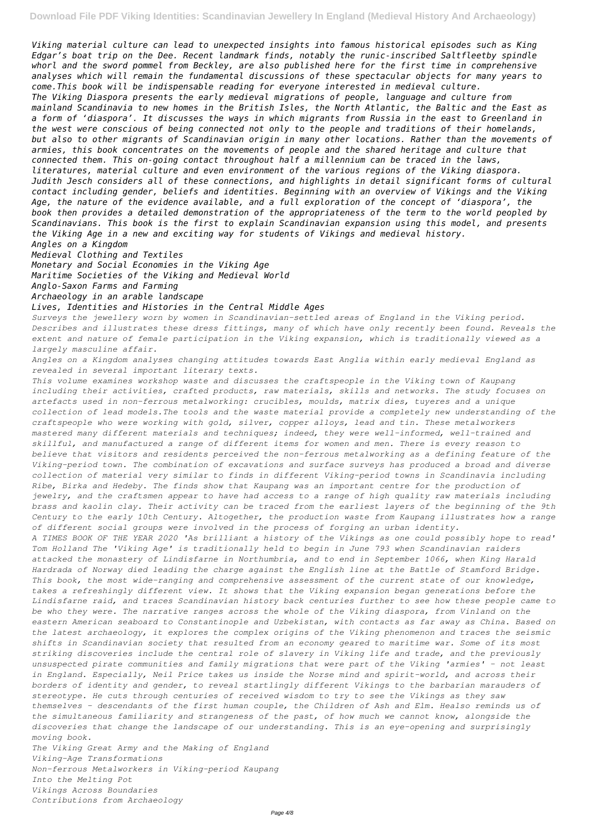*Viking material culture can lead to unexpected insights into famous historical episodes such as King Edgar's boat trip on the Dee. Recent landmark finds, notably the runic-inscribed Saltfleetby spindle whorl and the sword pommel from Beckley, are also published here for the first time in comprehensive analyses which will remain the fundamental discussions of these spectacular objects for many years to come.This book will be indispensable reading for everyone interested in medieval culture. The Viking Diaspora presents the early medieval migrations of people, language and culture from mainland Scandinavia to new homes in the British Isles, the North Atlantic, the Baltic and the East as a form of 'diaspora'. It discusses the ways in which migrants from Russia in the east to Greenland in the west were conscious of being connected not only to the people and traditions of their homelands, but also to other migrants of Scandinavian origin in many other locations. Rather than the movements of armies, this book concentrates on the movements of people and the shared heritage and culture that connected them. This on-going contact throughout half a millennium can be traced in the laws, literatures, material culture and even environment of the various regions of the Viking diaspora. Judith Jesch considers all of these connections, and highlights in detail significant forms of cultural contact including gender, beliefs and identities. Beginning with an overview of Vikings and the Viking Age, the nature of the evidence available, and a full exploration of the concept of 'diaspora', the book then provides a detailed demonstration of the appropriateness of the term to the world peopled by Scandinavians. This book is the first to explain Scandinavian expansion using this model, and presents the Viking Age in a new and exciting way for students of Vikings and medieval history.*

*Angles on a Kingdom*

*Medieval Clothing and Textiles*

*Monetary and Social Economies in the Viking Age*

*Maritime Societies of the Viking and Medieval World*

*Anglo-Saxon Farms and Farming*

*Archaeology in an arable landscape*

*Lives, Identities and Histories in the Central Middle Ages*

*Surveys the jewellery worn by women in Scandinavian-settled areas of England in the Viking period. Describes and illustrates these dress fittings, many of which have only recently been found. Reveals the extent and nature of female participation in the Viking expansion, which is traditionally viewed as a largely masculine affair.*

*Angles on a Kingdom analyses changing attitudes towards East Anglia within early medieval England as revealed in several important literary texts.*

*This volume examines workshop waste and discusses the craftspeople in the Viking town of Kaupang including their activities, crafted products, raw materials, skills and networks. The study focuses on artefacts used in non-ferrous metalworking: crucibles, moulds, matrix dies, tuyeres and a unique collection of lead models.The tools and the waste material provide a completely new understanding of the craftspeople who were working with gold, silver, copper alloys, lead and tin. These metalworkers mastered many different materials and techniques; indeed, they were well-informed, well-trained and skillful, and manufactured a range of different items for women and men. There is every reason to believe that visitors and residents perceived the non-ferrous metalworking as a defining feature of the Viking-period town. The combination of excavations and surface surveys has produced a broad and diverse collection of material very similar to finds in different Viking-period towns in Scandinavia including Ribe, Birka and Hedeby. The finds show that Kaupang was an important centre for the production of jewelry, and the craftsmen appear to have had access to a range of high quality raw materials including brass and kaolin clay. Their activity can be traced from the earliest layers of the beginning of the 9th Century to the early 10th Century. Altogether, the production waste from Kaupang illustrates how a range of different social groups were involved in the process of forging an urban identity. A TIMES BOOK OF THE YEAR 2020 'As brilliant a history of the Vikings as one could possibly hope to read' Tom Holland The 'Viking Age' is traditionally held to begin in June 793 when Scandinavian raiders attacked the monastery of Lindisfarne in Northumbria, and to end in September 1066, when King Harald Hardrada of Norway died leading the charge against the English line at the Battle of Stamford Bridge. This book, the most wide-ranging and comprehensive assessment of the current state of our knowledge, takes a refreshingly different view. It shows that the Viking expansion began generations before the Lindisfarne raid, and traces Scandinavian history back centuries further to see how these people came to be who they were. The narrative ranges across the whole of the Viking diaspora, from Vinland on the*

*eastern American seaboard to Constantinople and Uzbekistan, with contacts as far away as China. Based on*

*the latest archaeology, it explores the complex origins of the Viking phenomenon and traces the seismic shifts in Scandinavian society that resulted from an economy geared to maritime war. Some of its most striking discoveries include the central role of slavery in Viking life and trade, and the previously unsuspected pirate communities and family migrations that were part of the Viking 'armies' - not least in England. Especially, Neil Price takes us inside the Norse mind and spirit-world, and across their borders of identity and gender, to reveal startlingly different Vikings to the barbarian marauders of stereotype. He cuts through centuries of received wisdom to try to see the Vikings as they saw themselves - descendants of the first human couple, the Children of Ash and Elm. Healso reminds us of the simultaneous familiarity and strangeness of the past, of how much we cannot know, alongside the discoveries that change the landscape of our understanding. This is an eye-opening and surprisingly moving book.*

*The Viking Great Army and the Making of England Viking-Age Transformations Non-ferrous Metalworkers in Viking-period Kaupang Into the Melting Pot Vikings Across Boundaries Contributions from Archaeology*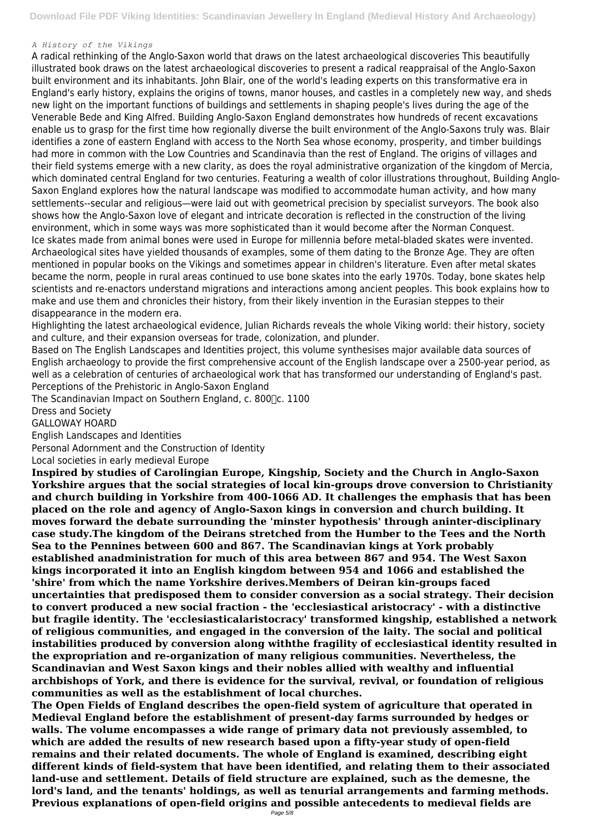## *A History of the Vikings*

A radical rethinking of the Anglo-Saxon world that draws on the latest archaeological discoveries This beautifully illustrated book draws on the latest archaeological discoveries to present a radical reappraisal of the Anglo-Saxon built environment and its inhabitants. John Blair, one of the world's leading experts on this transformative era in England's early history, explains the origins of towns, manor houses, and castles in a completely new way, and sheds new light on the important functions of buildings and settlements in shaping people's lives during the age of the Venerable Bede and King Alfred. Building Anglo-Saxon England demonstrates how hundreds of recent excavations enable us to grasp for the first time how regionally diverse the built environment of the Anglo-Saxons truly was. Blair identifies a zone of eastern England with access to the North Sea whose economy, prosperity, and timber buildings had more in common with the Low Countries and Scandinavia than the rest of England. The origins of villages and their field systems emerge with a new clarity, as does the royal administrative organization of the kingdom of Mercia, which dominated central England for two centuries. Featuring a wealth of color illustrations throughout, Building Anglo-Saxon England explores how the natural landscape was modified to accommodate human activity, and how many settlements--secular and religious—were laid out with geometrical precision by specialist surveyors. The book also shows how the Anglo-Saxon love of elegant and intricate decoration is reflected in the construction of the living environment, which in some ways was more sophisticated than it would become after the Norman Conquest. Ice skates made from animal bones were used in Europe for millennia before metal-bladed skates were invented. Archaeological sites have yielded thousands of examples, some of them dating to the Bronze Age. They are often mentioned in popular books on the Vikings and sometimes appear in children's literature. Even after metal skates became the norm, people in rural areas continued to use bone skates into the early 1970s. Today, bone skates help scientists and re-enactors understand migrations and interactions among ancient peoples. This book explains how to make and use them and chronicles their history, from their likely invention in the Eurasian steppes to their disappearance in the modern era.

Highlighting the latest archaeological evidence, Julian Richards reveals the whole Viking world: their history, society and culture, and their expansion overseas for trade, colonization, and plunder.

Based on The English Landscapes and Identities project, this volume synthesises major available data sources of English archaeology to provide the first comprehensive account of the English landscape over a 2500-year period, as well as a celebration of centuries of archaeological work that has transformed our understanding of England's past. Perceptions of the Prehistoric in Anglo-Saxon England

The Scandinavian Impact on Southern England, c. 800 $\Gamma$ c. 1100

Dress and Society

GALLOWAY HOARD

English Landscapes and Identities

Personal Adornment and the Construction of Identity

Local societies in early medieval Europe

**Inspired by studies of Carolingian Europe, Kingship, Society and the Church in Anglo-Saxon Yorkshire argues that the social strategies of local kin-groups drove conversion to Christianity and church building in Yorkshire from 400-1066 AD. It challenges the emphasis that has been placed on the role and agency of Anglo-Saxon kings in conversion and church building. It moves forward the debate surrounding the 'minster hypothesis' through aninter-disciplinary case study.The kingdom of the Deirans stretched from the Humber to the Tees and the North Sea to the Pennines between 600 and 867. The Scandinavian kings at York probably established anadministration for much of this area between 867 and 954. The West Saxon kings incorporated it into an English kingdom between 954 and 1066 and established the 'shire' from which the name Yorkshire derives.Members of Deiran kin-groups faced uncertainties that predisposed them to consider conversion as a social strategy. Their decision to convert produced a new social fraction - the 'ecclesiastical aristocracy' - with a distinctive but fragile identity. The 'ecclesiasticalaristocracy' transformed kingship, established a network of religious communities, and engaged in the conversion of the laity. The social and political instabilities produced by conversion along withthe fragility of ecclesiastical identity resulted in the expropriation and re-organization of many religious communities. Nevertheless, the Scandinavian and West Saxon kings and their nobles allied with wealthy and influential archbishops of York, and there is evidence for the survival, revival, or foundation of religious communities as well as the establishment of local churches. The Open Fields of England describes the open-field system of agriculture that operated in Medieval England before the establishment of present-day farms surrounded by hedges or walls. The volume encompasses a wide range of primary data not previously assembled, to which are added the results of new research based upon a fifty-year study of open-field remains and their related documents. The whole of England is examined, describing eight different kinds of field-system that have been identified, and relating them to their associated land-use and settlement. Details of field structure are explained, such as the demesne, the lord's land, and the tenants' holdings, as well as tenurial arrangements and farming methods. Previous explanations of open-field origins and possible antecedents to medieval fields are**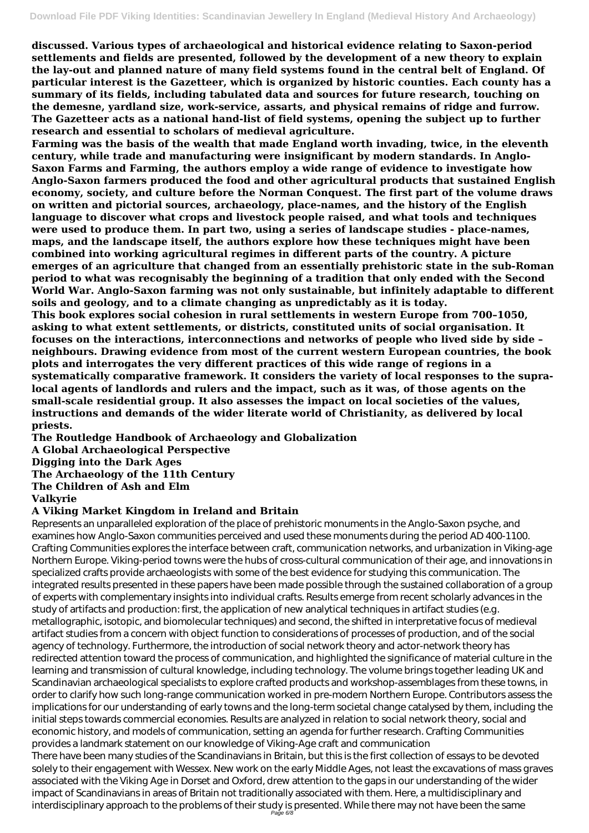**discussed. Various types of archaeological and historical evidence relating to Saxon-period settlements and fields are presented, followed by the development of a new theory to explain the lay-out and planned nature of many field systems found in the central belt of England. Of particular interest is the Gazetteer, which is organized by historic counties. Each county has a summary of its fields, including tabulated data and sources for future research, touching on the demesne, yardland size, work-service, assarts, and physical remains of ridge and furrow. The Gazetteer acts as a national hand-list of field systems, opening the subject up to further research and essential to scholars of medieval agriculture.**

**Farming was the basis of the wealth that made England worth invading, twice, in the eleventh century, while trade and manufacturing were insignificant by modern standards. In Anglo-Saxon Farms and Farming, the authors employ a wide range of evidence to investigate how Anglo-Saxon farmers produced the food and other agricultural products that sustained English economy, society, and culture before the Norman Conquest. The first part of the volume draws on written and pictorial sources, archaeology, place-names, and the history of the English language to discover what crops and livestock people raised, and what tools and techniques were used to produce them. In part two, using a series of landscape studies - place-names, maps, and the landscape itself, the authors explore how these techniques might have been combined into working agricultural regimes in different parts of the country. A picture emerges of an agriculture that changed from an essentially prehistoric state in the sub-Roman period to what was recognisably the beginning of a tradition that only ended with the Second World War. Anglo-Saxon farming was not only sustainable, but infinitely adaptable to different soils and geology, and to a climate changing as unpredictably as it is today.**

**This book explores social cohesion in rural settlements in western Europe from 700–1050, asking to what extent settlements, or districts, constituted units of social organisation. It focuses on the interactions, interconnections and networks of people who lived side by side – neighbours. Drawing evidence from most of the current western European countries, the book plots and interrogates the very different practices of this wide range of regions in a systematically comparative framework. It considers the variety of local responses to the supralocal agents of landlords and rulers and the impact, such as it was, of those agents on the small-scale residential group. It also assesses the impact on local societies of the values, instructions and demands of the wider literate world of Christianity, as delivered by local priests.**

**The Routledge Handbook of Archaeology and Globalization A Global Archaeological Perspective Digging into the Dark Ages The Archaeology of the 11th Century The Children of Ash and Elm Valkyrie**

## **A Viking Market Kingdom in Ireland and Britain**

Represents an unparalleled exploration of the place of prehistoric monuments in the Anglo-Saxon psyche, and examines how Anglo-Saxon communities perceived and used these monuments during the period AD 400-1100. Crafting Communities explores the interface between craft, communication networks, and urbanization in Viking-age Northern Europe. Viking-period towns were the hubs of cross-cultural communication of their age, and innovations in specialized crafts provide archaeologists with some of the best evidence for studying this communication. The integrated results presented in these papers have been made possible through the sustained collaboration of a group of experts with complementary insights into individual crafts. Results emerge from recent scholarly advances in the study of artifacts and production: first, the application of new analytical techniques in artifact studies (e.g. metallographic, isotopic, and biomolecular techniques) and second, the shifted in interpretative focus of medieval artifact studies from a concern with object function to considerations of processes of production, and of the social agency of technology. Furthermore, the introduction of social network theory and actor-network theory has redirected attention toward the process of communication, and highlighted the significance of material culture in the learning and transmission of cultural knowledge, including technology. The volume brings together leading UK and Scandinavian archaeological specialists to explore crafted products and workshop-assemblages from these towns, in order to clarify how such long-range communication worked in pre-modern Northern Europe. Contributors assess the implications for our understanding of early towns and the long-term societal change catalysed by them, including the initial steps towards commercial economies. Results are analyzed in relation to social network theory, social and economic history, and models of communication, setting an agenda for further research. Crafting Communities provides a landmark statement on our knowledge of Viking-Age craft and communication There have been many studies of the Scandinavians in Britain, but this is the first collection of essays to be devoted solely to their engagement with Wessex. New work on the early Middle Ages, not least the excavations of mass graves associated with the Viking Age in Dorset and Oxford, drew attention to the gaps in our understanding of the wider impact of Scandinavians in areas of Britain not traditionally associated with them. Here, a multidisciplinary and interdisciplinary approach to the problems of their study is presented. While there may not have been the same Page 6/8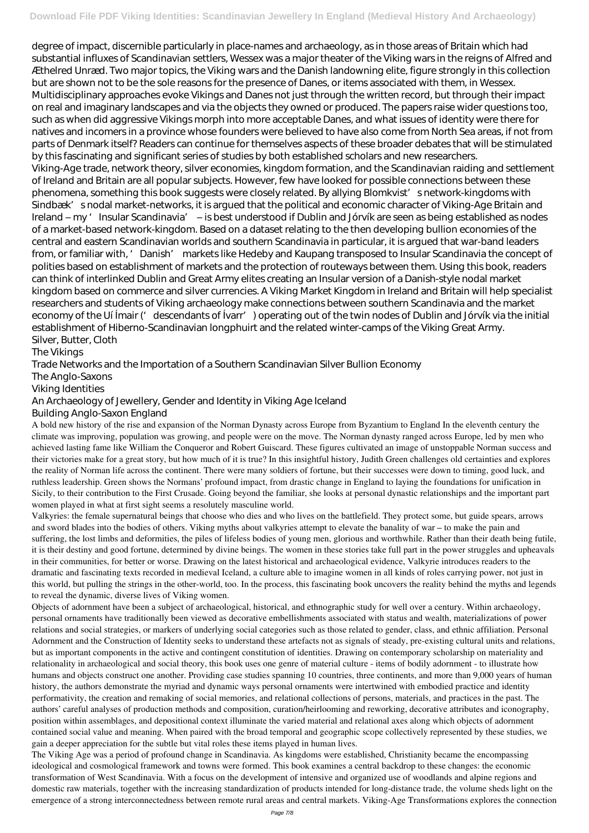degree of impact, discernible particularly in place-names and archaeology, as in those areas of Britain which had substantial influxes of Scandinavian settlers, Wessex was a major theater of the Viking wars in the reigns of Alfred and Æthelred Unræd. Two major topics, the Viking wars and the Danish landowning elite, figure strongly in this collection but are shown not to be the sole reasons for the presence of Danes, or items associated with them, in Wessex. Multidisciplinary approaches evoke Vikings and Danes not just through the written record, but through their impact on real and imaginary landscapes and via the objects they owned or produced. The papers raise wider questions too, such as when did aggressive Vikings morph into more acceptable Danes, and what issues of identity were there for natives and incomers in a province whose founders were believed to have also come from North Sea areas, if not from parts of Denmark itself? Readers can continue for themselves aspects of these broader debates that will be stimulated by this fascinating and significant series of studies by both established scholars and new researchers. Viking-Age trade, network theory, silver economies, kingdom formation, and the Scandinavian raiding and settlement of Ireland and Britain are all popular subjects. However, few have looked for possible connections between these phenomena, something this book suggests were closely related. By allying Blomkvist' snetwork-kingdoms with Sindbæk' snodal market-networks, it is argued that the political and economic character of Viking-Age Britain and Ireland – my 'Insular Scandinavia' – is best understood if Dublin and Jórvík are seen as being established as nodes of a market-based network-kingdom. Based on a dataset relating to the then developing bullion economies of the central and eastern Scandinavian worlds and southern Scandinavia in particular, it is argued that war-band leaders from, or familiar with, 'Danish' markets like Hedeby and Kaupang transposed to Insular Scandinavia the concept of polities based on establishment of markets and the protection of routeways between them. Using this book, readers can think of interlinked Dublin and Great Army elites creating an Insular version of a Danish-style nodal market kingdom based on commerce and silver currencies. A Viking Market Kingdom in Ireland and Britain will help specialist researchers and students of Viking archaeology make connections between southern Scandinavia and the market economy of the Uí Ímair (' descendants of Ívarr') operating out of the twin nodes of Dublin and Jórvík via the initial establishment of Hiberno-Scandinavian longphuirt and the related winter-camps of the Viking Great Army. Silver, Butter, Cloth

The Vikings

Trade Networks and the Importation of a Southern Scandinavian Silver Bullion Economy

The Anglo-Saxons

Viking Identities

An Archaeology of Jewellery, Gender and Identity in Viking Age Iceland

Building Anglo-Saxon England

A bold new history of the rise and expansion of the Norman Dynasty across Europe from Byzantium to England In the eleventh century the climate was improving, population was growing, and people were on the move. The Norman dynasty ranged across Europe, led by men who achieved lasting fame like William the Conqueror and Robert Guiscard. These figures cultivated an image of unstoppable Norman success and their victories make for a great story, but how much of it is true? In this insightful history, Judith Green challenges old certainties and explores the reality of Norman life across the continent. There were many soldiers of fortune, but their successes were down to timing, good luck, and ruthless leadership. Green shows the Normans' profound impact, from drastic change in England to laying the foundations for unification in Sicily, to their contribution to the First Crusade. Going beyond the familiar, she looks at personal dynastic relationships and the important part women played in what at first sight seems a resolutely masculine world.

Valkyries: the female supernatural beings that choose who dies and who lives on the battlefield. They protect some, but guide spears, arrows and sword blades into the bodies of others. Viking myths about valkyries attempt to elevate the banality of war – to make the pain and suffering, the lost limbs and deformities, the piles of lifeless bodies of young men, glorious and worthwhile. Rather than their death being futile, it is their destiny and good fortune, determined by divine beings. The women in these stories take full part in the power struggles and upheavals in their communities, for better or worse. Drawing on the latest historical and archaeological evidence, Valkyrie introduces readers to the dramatic and fascinating texts recorded in medieval Iceland, a culture able to imagine women in all kinds of roles carrying power, not just in this world, but pulling the strings in the other-world, too. In the process, this fascinating book uncovers the reality behind the myths and legends to reveal the dynamic, diverse lives of Viking women.

Objects of adornment have been a subject of archaeological, historical, and ethnographic study for well over a century. Within archaeology, personal ornaments have traditionally been viewed as decorative embellishments associated with status and wealth, materializations of power relations and social strategies, or markers of underlying social categories such as those related to gender, class, and ethnic affiliation. Personal Adornment and the Construction of Identity seeks to understand these artefacts not as signals of steady, pre-existing cultural units and relations, but as important components in the active and contingent constitution of identities. Drawing on contemporary scholarship on materiality and relationality in archaeological and social theory, this book uses one genre of material culture - items of bodily adornment - to illustrate how humans and objects construct one another. Providing case studies spanning 10 countries, three continents, and more than 9,000 years of human history, the authors demonstrate the myriad and dynamic ways personal ornaments were intertwined with embodied practice and identity performativity, the creation and remaking of social memories, and relational collections of persons, materials, and practices in the past. The authors' careful analyses of production methods and composition, curation/heirlooming and reworking, decorative attributes and iconography, position within assemblages, and depositional context illuminate the varied material and relational axes along which objects of adornment contained social value and meaning. When paired with the broad temporal and geographic scope collectively represented by these studies, we gain a deeper appreciation for the subtle but vital roles these items played in human lives. The Viking Age was a period of profound change in Scandinavia. As kingdoms were established, Christianity became the encompassing ideological and cosmological framework and towns were formed. This book examines a central backdrop to these changes: the economic transformation of West Scandinavia. With a focus on the development of intensive and organized use of woodlands and alpine regions and domestic raw materials, together with the increasing standardization of products intended for long-distance trade, the volume sheds light on the emergence of a strong interconnectedness between remote rural areas and central markets. Viking-Age Transformations explores the connection